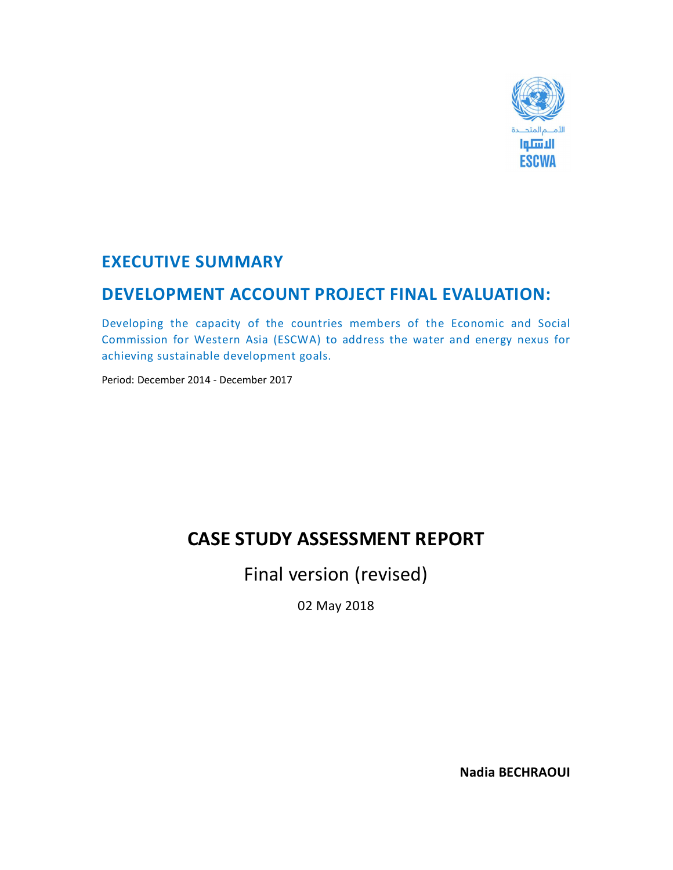

## **EXECUTIVE SUMMARY**

## **DEVELOPMENT ACCOUNT PROJECT FINAL EVALUATION:**

Developing the capacity of the countries members of the Economic and Social Commission for Western Asia (ESCWA) to address the water and energy nexus for achieving sustainable development goals.

Period: December 2014 - December 2017

# **CASE STUDY ASSESSMENT REPORT**

Final version (revised)

02 May 2018

**Nadia BECHRAOUI**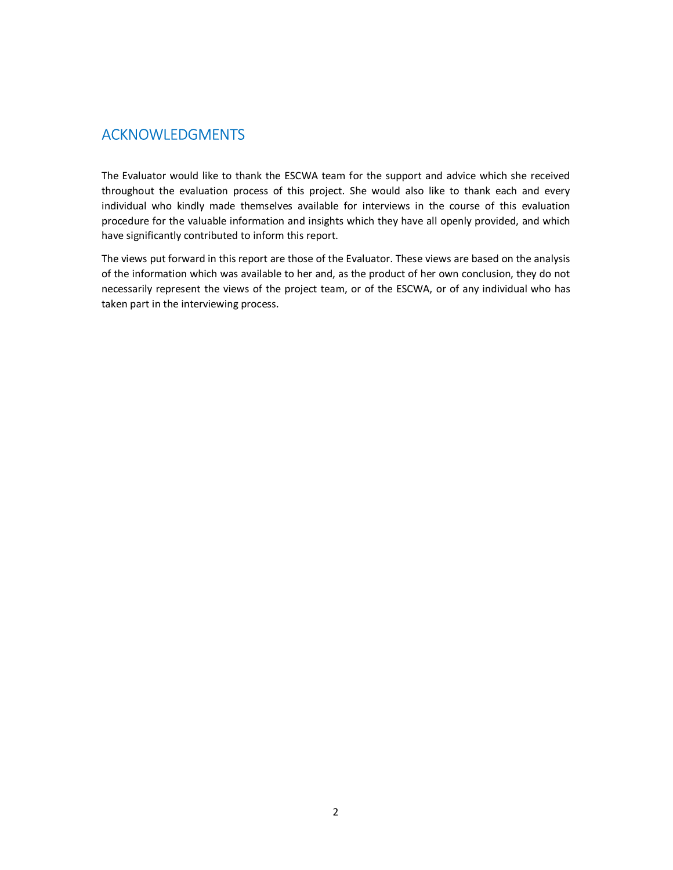### ACKNOWLEDGMENTS

The Evaluator would like to thank the ESCWA team for the support and advice which she received throughout the evaluation process of this project. She would also like to thank each and every individual who kindly made themselves available for interviews in the course of this evaluation procedure for the valuable information and insights which they have all openly provided, and which have significantly contributed to inform this report.

The views put forward in this report are those of the Evaluator. These views are based on the analysis of the information which was available to her and, as the product of her own conclusion, they do not necessarily represent the views of the project team, or of the ESCWA, or of any individual who has taken part in the interviewing process.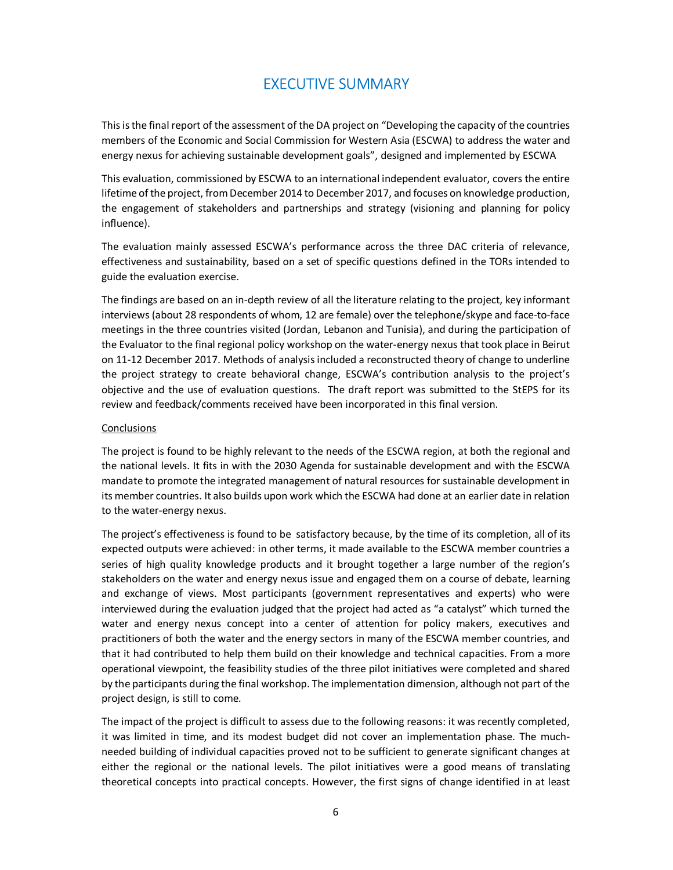### EXECUTIVE SUMMARY

This is the final report of the assessment of the DA project on "Developing the capacity of the countries members of the Economic and Social Commission for Western Asia (ESCWA) to address the water and energy nexus for achieving sustainable development goals", designed and implemented by ESCWA

This evaluation, commissioned by ESCWA to an international independent evaluator, covers the entire lifetime of the project, from December 2014 to December 2017, and focuses on knowledge production, the engagement of stakeholders and partnerships and strategy (visioning and planning for policy influence).

The evaluation mainly assessed ESCWA's performance across the three DAC criteria of relevance, effectiveness and sustainability, based on a set of specific questions defined in the TORs intended to guide the evaluation exercise.

The findings are based on an in-depth review of all the literature relating to the project, key informant interviews (about 28 respondents of whom, 12 are female) over the telephone/skype and face-to-face meetings in the three countries visited (Jordan, Lebanon and Tunisia), and during the participation of the Evaluator to the final regional policy workshop on the water-energy nexus that took place in Beirut on 11-12 December 2017. Methods of analysis included a reconstructed theory of change to underline the project strategy to create behavioral change, ESCWA's contribution analysis to the project's objective and the use of evaluation questions. The draft report was submitted to the StEPS for its review and feedback/comments received have been incorporated in this final version.

#### Conclusions

The project is found to be highly relevant to the needs of the ESCWA region, at both the regional and the national levels. It fits in with the 2030 Agenda for sustainable development and with the ESCWA mandate to promote the integrated management of natural resources for sustainable development in its member countries. It also builds upon work which the ESCWA had done at an earlier date in relation to the water-energy nexus.

The project's effectiveness is found to be satisfactory because, by the time of its completion, all of its expected outputs were achieved: in other terms, it made available to the ESCWA member countries a series of high quality knowledge products and it brought together a large number of the region's stakeholders on the water and energy nexus issue and engaged them on a course of debate, learning and exchange of views. Most participants (government representatives and experts) who were interviewed during the evaluation judged that the project had acted as "a catalyst" which turned the water and energy nexus concept into a center of attention for policy makers, executives and practitioners of both the water and the energy sectors in many of the ESCWA member countries, and that it had contributed to help them build on their knowledge and technical capacities. From a more operational viewpoint, the feasibility studies of the three pilot initiatives were completed and shared by the participants during the final workshop. The implementation dimension, although not part of the project design, is still to come.

The impact of the project is difficult to assess due to the following reasons: it was recently completed, it was limited in time, and its modest budget did not cover an implementation phase. The muchneeded building of individual capacities proved not to be sufficient to generate significant changes at either the regional or the national levels. The pilot initiatives were a good means of translating theoretical concepts into practical concepts. However, the first signs of change identified in at least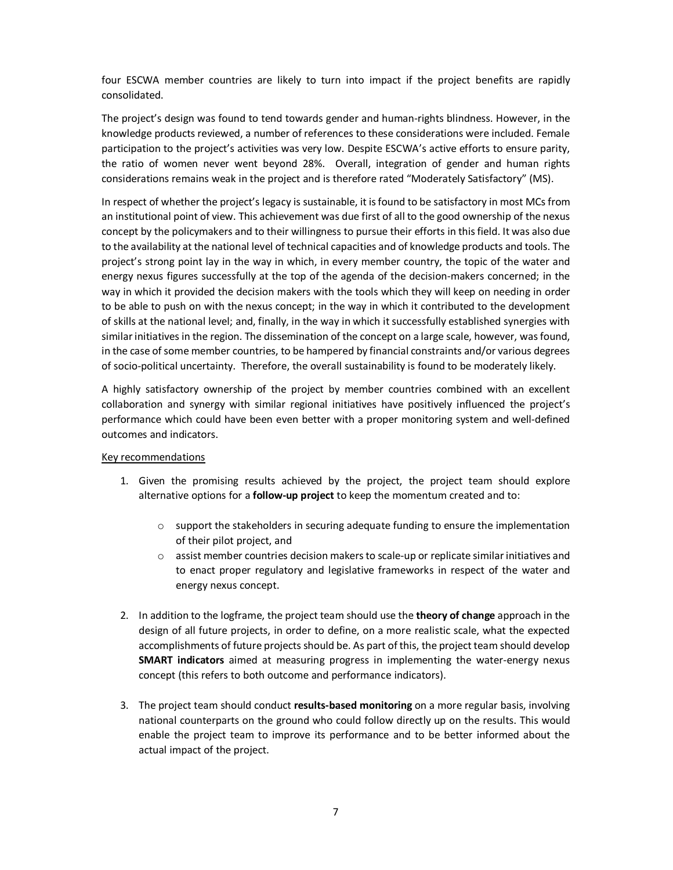four ESCWA member countries are likely to turn into impact if the project benefits are rapidly consolidated.

The project's design was found to tend towards gender and human-rights blindness. However, in the knowledge products reviewed, a number of references to these considerations were included. Female participation to the project's activities was very low. Despite ESCWA's active efforts to ensure parity, the ratio of women never went beyond 28%. Overall, integration of gender and human rights considerations remains weak in the project and is therefore rated "Moderately Satisfactory" (MS).

In respect of whether the project's legacy is sustainable, it is found to be satisfactory in most MCs from an institutional point of view. This achievement was due first of all to the good ownership of the nexus concept by the policymakers and to their willingness to pursue their efforts in this field. It was also due to the availability at the national level of technical capacities and of knowledge products and tools. The project's strong point lay in the way in which, in every member country, the topic of the water and energy nexus figures successfully at the top of the agenda of the decision-makers concerned; in the way in which it provided the decision makers with the tools which they will keep on needing in order to be able to push on with the nexus concept; in the way in which it contributed to the development of skills at the national level; and, finally, in the way in which it successfully established synergies with similar initiatives in the region. The dissemination of the concept on a large scale, however, was found, in the case of some member countries, to be hampered by financial constraints and/or various degrees of socio-political uncertainty. Therefore, the overall sustainability is found to be moderately likely.

A highly satisfactory ownership of the project by member countries combined with an excellent collaboration and synergy with similar regional initiatives have positively influenced the project's performance which could have been even better with a proper monitoring system and well-defined outcomes and indicators.

#### Key recommendations

- 1. Given the promising results achieved by the project, the project team should explore alternative options for a **follow-up project** to keep the momentum created and to:
	- $\circ$  support the stakeholders in securing adequate funding to ensure the implementation of their pilot project, and
	- $\circ$  assist member countries decision makers to scale-up or replicate similar initiatives and to enact proper regulatory and legislative frameworks in respect of the water and energy nexus concept.
- 2. In addition to the logframe, the project team should use the **theory of change** approach in the design of all future projects, in order to define, on a more realistic scale, what the expected accomplishments of future projects should be. As part of this, the project team should develop **SMART indicators** aimed at measuring progress in implementing the water-energy nexus concept (this refers to both outcome and performance indicators).
- 3. The project team should conduct **results-based monitoring** on a more regular basis, involving national counterparts on the ground who could follow directly up on the results. This would enable the project team to improve its performance and to be better informed about the actual impact of the project.